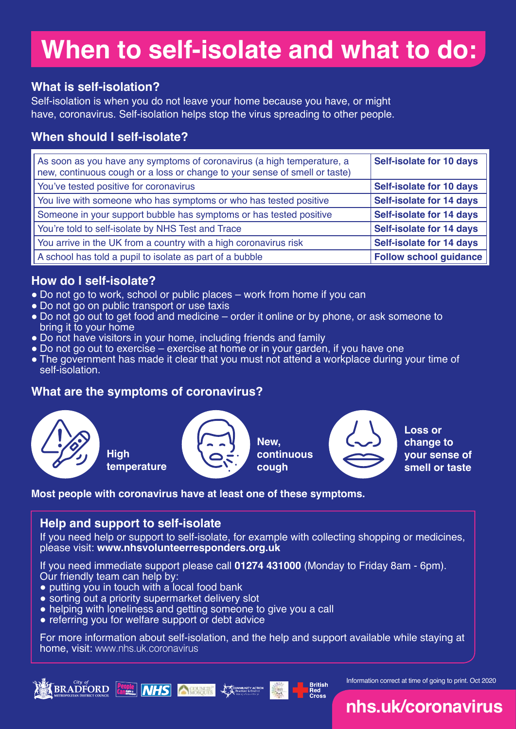# **When to self-isolate and what to do:**

### **What is self-isolation?**

Self-isolation is when you do not leave your home because you have, or might have, coronavirus. Self-isolation helps stop the virus spreading to other people.

# **When should I self-isolate?**

| As soon as you have any symptoms of coronavirus (a high temperature, a<br>new, continuous cough or a loss or change to your sense of smell or taste) | <b>Self-isolate for 10 days</b> |
|------------------------------------------------------------------------------------------------------------------------------------------------------|---------------------------------|
| You've tested positive for coronavirus                                                                                                               | <b>Self-isolate for 10 days</b> |
| You live with someone who has symptoms or who has tested positive                                                                                    | <b>Self-isolate for 14 days</b> |
| Someone in your support bubble has symptoms or has tested positive                                                                                   | <b>Self-isolate for 14 days</b> |
| You're told to self-isolate by NHS Test and Trace                                                                                                    | <b>Self-isolate for 14 days</b> |
| You arrive in the UK from a country with a high coronavirus risk                                                                                     | <b>Self-isolate for 14 days</b> |
| A school has told a pupil to isolate as part of a bubble                                                                                             | <b>Follow school guidance</b>   |

### **How do I self-isolate?**

- Do not go to work, school or public places work from home if you can
- Do not go on public transport or use taxis
- Do not go out to get food and medicine order it online or by phone, or ask someone to bring it to your home
- Do not have visitors in your home, including friends and family
- Do not go out to exercise exercise at home or in your garden, if you have one
- The government has made it clear that you must not attend a workplace during your time of self-isolation.

## **What are the symptoms of coronavirus?**



### **Most people with coronavirus have at least one of these symptoms.**

### **Help and support to self-isolate**

If you need help or support to self-isolate, for example with collecting shopping or medicines, please visit: **www.nhsvolunteerresponders.org.uk**

If you need immediate support please call **01274 431000** (Monday to Friday 8am - 6pm). Our friendly team can help by:

- putting you in touch with a local food bank
- sorting out a priority supermarket delivery slot
- helping with loneliness and getting someone to give you a call
- referring you for welfare support or debt advice

For more information about self-isolation, and the help and support available while staying at home, visit: www.nhs.uk.coronavirus

**British<br>Red<br>Cross** 



Information correct at time of going to print. Oct 2020

# **nhs.uk/coronavirus**